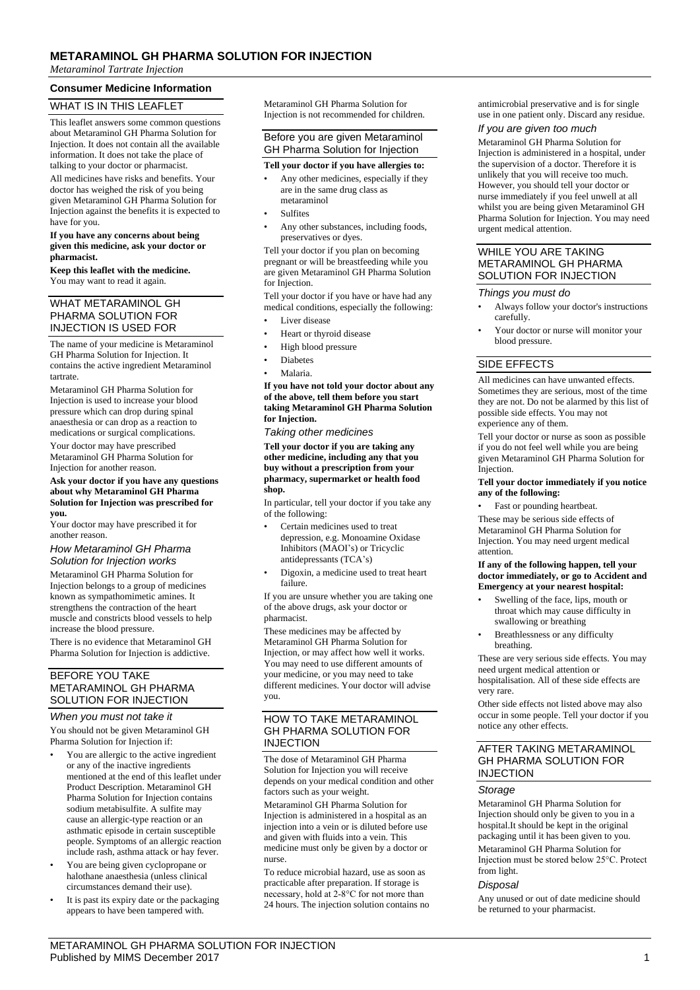## **METARAMINOL GH PHARMA SOLUTION FOR INJECTION**

*Metaraminol Tartrate Injection*

### **Consumer Medicine Information**

## WHAT IS IN THIS LEAFLET

This leaflet answers some common questions about Metaraminol GH Pharma Solution for Injection. It does not contain all the available information. It does not take the place of talking to your doctor or pharmacist.

All medicines have risks and benefits. Your doctor has weighed the risk of you being given Metaraminol GH Pharma Solution for Injection against the benefits it is expected to have for you.

#### **If you have any concerns about being given this medicine, ask your doctor or pharmacist.**

**Keep this leaflet with the medicine.** You may want to read it again.

### WHAT METARAMINOL GH PHARMA SOLUTION FOR INJECTION IS USED FOR

The name of your medicine is Metaraminol GH Pharma Solution for Injection. It contains the active ingredient Metaraminol tartrate.

Metaraminol GH Pharma Solution for Injection is used to increase your blood pressure which can drop during spinal anaesthesia or can drop as a reaction to medications or surgical complications.

Your doctor may have prescribed Metaraminol GH Pharma Solution for Injection for another reason.

#### **Ask your doctor if you have any questions about why Metaraminol GH Pharma Solution for Injection was prescribed for you.**

Your doctor may have prescribed it for another reason.

#### *How Metaraminol GH Pharma Solution for Injection works*

Metaraminol GH Pharma Solution for Injection belongs to a group of medicines known as sympathomimetic amines. It strengthens the contraction of the heart muscle and constricts blood vessels to help increase the blood pressure.

There is no evidence that Metaraminol GH Pharma Solution for Injection is addictive.

#### BEFORE YOU TAKE METARAMINOL GH PHARMA SOLUTION FOR INJECTION

#### *When you must not take it*

You should not be given Metaraminol GH Pharma Solution for Injection if:

- You are allergic to the active ingredient or any of the inactive ingredients mentioned at the end of this leaflet under Product Description. Metaraminol GH Pharma Solution for Injection contains sodium metabisulfite. A sulfite may cause an allergic-type reaction or an asthmatic episode in certain susceptible people. Symptoms of an allergic reaction include rash, asthma attack or hay fever.
- You are being given cyclopropane or halothane anaesthesia (unless clinical circumstances demand their use).
- It is past its expiry date or the packaging appears to have been tampered with.

Metaraminol GH Pharma Solution for Injection is not recommended for children.

## Before you are given Metaraminol GH Pharma Solution for Injection

### **Tell your doctor if you have allergies to:**

- Any other medicines, especially if they are in the same drug class as metaraminol
- **Sulfites**
- Any other substances, including foods, preservatives or dyes.

Tell your doctor if you plan on becoming pregnant or will be breastfeeding while you are given Metaraminol GH Pharma Solution for Injection.

Tell your doctor if you have or have had any medical conditions, especially the following:

- Liver disease
- Heart or thyroid disease
- High blood pressure
- Diabetes
- Malaria.

**If you have not told your doctor about any of the above, tell them before you start taking Metaraminol GH Pharma Solution for Injection.**

*Taking other medicines*

**Tell your doctor if you are taking any other medicine, including any that you buy without a prescription from your pharmacy, supermarket or health food shop.**

In particular, tell your doctor if you take any of the following:

- Certain medicines used to treat depression, e.g. Monoamine Oxidase Inhibitors (MAOI's) or Tricyclic antidepressants (TCA's)
- Digoxin, a medicine used to treat heart failure.

If you are unsure whether you are taking one of the above drugs, ask your doctor or pharmacist.

These medicines may be affected by Metaraminol GH Pharma Solution for Injection, or may affect how well it works. You may need to use different amounts of your medicine, or you may need to take different medicines. Your doctor will advise you.

### HOW TO TAKE METARAMINOL GH PHARMA SOLUTION FOR INJECTION

The dose of Metaraminol GH Pharma Solution for Injection you will receive depends on your medical condition and other factors such as your weight.

Metaraminol GH Pharma Solution for Injection is administered in a hospital as an injection into a vein or is diluted before use and given with fluids into a vein. This medicine must only be given by a doctor or nurse.

To reduce microbial hazard, use as soon as practicable after preparation. If storage is necessary, hold at 2-8°C for not more than 24 hours. The injection solution contains no antimicrobial preservative and is for single use in one patient only. Discard any residue.

### *If you are given too much*

Metaraminol GH Pharma Solution for Injection is administered in a hospital, under the supervision of a doctor. Therefore it is unlikely that you will receive too much. However, you should tell your doctor or nurse immediately if you feel unwell at all whilst you are being given Metaraminol GH Pharma Solution for Injection. You may need urgent medical attention.

### WHILE YOU ARE TAKING METARAMINOL GH PHARMA SOLUTION FOR INJECTION

#### *Things you must do*

- Always follow your doctor's instructions carefully.
- Your doctor or nurse will monitor your blood pressure.

## SIDE EFFECTS

All medicines can have unwanted effects. Sometimes they are serious, most of the time they are not. Do not be alarmed by this list of possible side effects. You may not experience any of them.

Tell your doctor or nurse as soon as possible if you do not feel well while you are being given Metaraminol GH Pharma Solution for Injection.

#### **Tell your doctor immediately if you notice any of the following:**

Fast or pounding heartbeat.

These may be serious side effects of Metaraminol GH Pharma Solution for Injection. You may need urgent medical attention.

#### **If any of the following happen, tell your doctor immediately, or go to Accident and Emergency at your nearest hospital:**

- Swelling of the face, lips, mouth or throat which may cause difficulty in swallowing or breathing
- Breathlessness or any difficulty breathing.

These are very serious side effects. You may need urgent medical attention or hospitalisation. All of these side effects are very rare.

Other side effects not listed above may also occur in some people. Tell your doctor if you notice any other effects.

### AFTER TAKING METARAMINOL GH PHARMA SOLUTION FOR INJECTION

## *Storage*

Metaraminol GH Pharma Solution for Injection should only be given to you in a hospital.It should be kept in the original packaging until it has been given to you. Metaraminol GH Pharma Solution for Injection must be stored below 25°C. Protect from light.

## *Disposal*

Any unused or out of date medicine should be returned to your pharmacist.